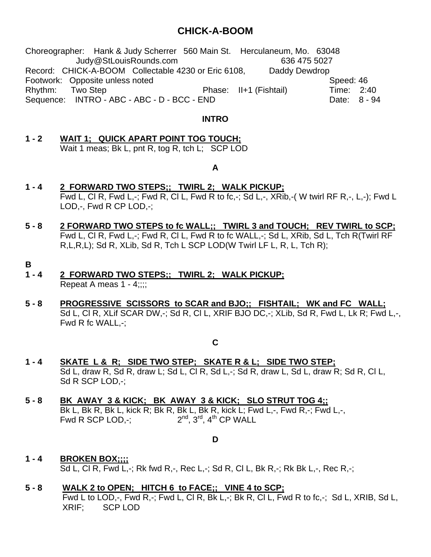## **CHICK-A-BOOM**

Choreographer: Hank & Judy Scherrer 560 Main St. Herculaneum, Mo. 63048 Judy@StLouisRounds.com 636 475 5027 Record: CHICK-A-BOOM Collectable 4230 or Eric 6108. Daddy Dewdrop Footwork: Opposite unless noted Speed: 46 Rhythm: Two Step **Phase: II+1 (Fishtail)** Time: 2:40 Sequence: INTRO - ABC - ABC - D - BCC - END Date: 8 - 94

## **INTRO**

**1 - 2 WAIT 1; QUICK APART POINT TOG TOUCH;** Wait 1 meas; Bk L, pnt R, tog R, tch L; SCP LOD

## **A**

- **1 4 2 FORWARD TWO STEPS;; TWIRL 2; WALK PICKUP;** Fwd L, Cl R, Fwd L,-; Fwd R, Cl L, Fwd R to fc,-; Sd L,-, XRib,-( W twirl RF R,-, L,-); Fwd L LOD,-, Fwd R CP LOD,-;
- **5 8 2 FORWARD TWO STEPS to fc WALL;; TWIRL 3 and TOUCH; REV TWIRL to SCP;** Fwd L, CI R, Fwd L,-; Fwd R, CI L, Fwd R to fc WALL,-; Sd L, XRib, Sd L, Tch R(Twirl RF R,L,R,L); Sd R, XLib, Sd R, Tch L SCP LOD(W Twirl LF L, R, L, Tch R);
- **B**
- **1 4 2 FORWARD TWO STEPS;; TWIRL 2; WALK PICKUP;** Repeat A meas  $1 - 4$ ;;;;
- **5 8 PROGRESSIVE SCISSORS to SCAR and BJO;; FISHTAIL; WK and FC WALL;** Sd L, Cl R, XLif SCAR DW,-; Sd R, Cl L, XRIF BJO DC,-; XLib, Sd R, Fwd L, Lk R; Fwd L,-, Fwd R fc WALL,-;

**C**

- **1 4 SKATE L & R; SIDE TWO STEP; SKATE R & L; SIDE TWO STEP;** Sd L, draw R, Sd R, draw L; Sd L, Cl R, Sd L,-; Sd R, draw L, Sd L, draw R; Sd R, Cl L, Sd R SCP LOD,-;
- **5 8 BK AWAY 3 & KICK; BK AWAY 3 & KICK; SLO STRUT TOG 4;;** Bk L, Bk R, Bk L, kick R; Bk R, Bk L, Bk R, kick L; Fwd L,-, Fwd R,-; Fwd L,-, Fwd R SCP LOD,-;  $2^{nd}$ ,  $3^{rd}$ ,  $4^{th}$  CP WALL

**D**

- **1 4 BROKEN BOX;;;;** Sd L, Cl R, Fwd L,-; Rk fwd R,-, Rec L,-; Sd R, Cl L, Bk R,-; Rk Bk L,-, Rec R,-;
- **5 8 WALK 2 to OPEN; HITCH 6 to FACE;; VINE 4 to SCP;**

Fwd L to LOD,-, Fwd R,-; Fwd L, Cl R, Bk L,-; Bk R, Cl L, Fwd R to fc,-; Sd L, XRIB, Sd L, XRIF; SCP LOD